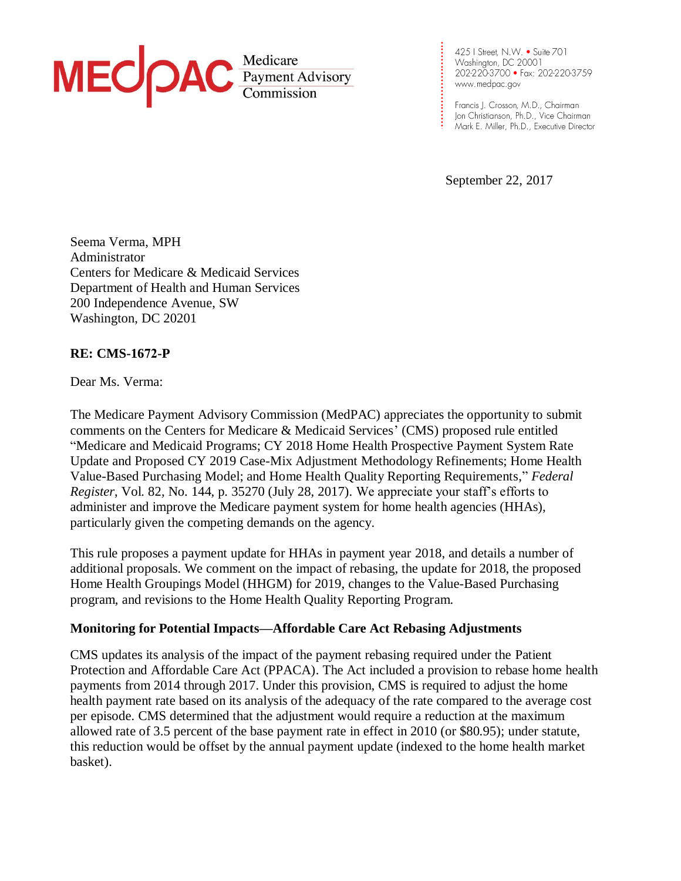

**. . . . . . . . . . . . . . . . .**

**. . . . . . . . . . .**

September 22, 2017

Seema Verma, MPH Administrator Centers for Medicare & Medicaid Services Department of Health and Human Services 200 Independence Avenue, SW Washington, DC 20201

# **RE: CMS-1672-P**

Dear Ms. Verma:

The Medicare Payment Advisory Commission (MedPAC) appreciates the opportunity to submit comments on the Centers for Medicare & Medicaid Services' (CMS) proposed rule entitled "Medicare and Medicaid Programs; CY 2018 Home Health Prospective Payment System Rate Update and Proposed CY 2019 Case-Mix Adjustment Methodology Refinements; Home Health Value-Based Purchasing Model; and Home Health Quality Reporting Requirements," *Federal Register*, Vol. 82, No. 144, p. 35270 (July 28, 2017). We appreciate your staff's efforts to administer and improve the Medicare payment system for home health agencies (HHAs), particularly given the competing demands on the agency.

This rule proposes a payment update for HHAs in payment year 2018, and details a number of additional proposals. We comment on the impact of rebasing, the update for 2018, the proposed Home Health Groupings Model (HHGM) for 2019, changes to the Value-Based Purchasing program, and revisions to the Home Health Quality Reporting Program.

### **Monitoring for Potential Impacts—Affordable Care Act Rebasing Adjustments**

CMS updates its analysis of the impact of the payment rebasing required under the Patient Protection and Affordable Care Act (PPACA). The Act included a provision to rebase home health payments from 2014 through 2017. Under this provision, CMS is required to adjust the home health payment rate based on its analysis of the adequacy of the rate compared to the average cost per episode. CMS determined that the adjustment would require a reduction at the maximum allowed rate of 3.5 percent of the base payment rate in effect in 2010 (or \$80.95); under statute, this reduction would be offset by the annual payment update (indexed to the home health market basket).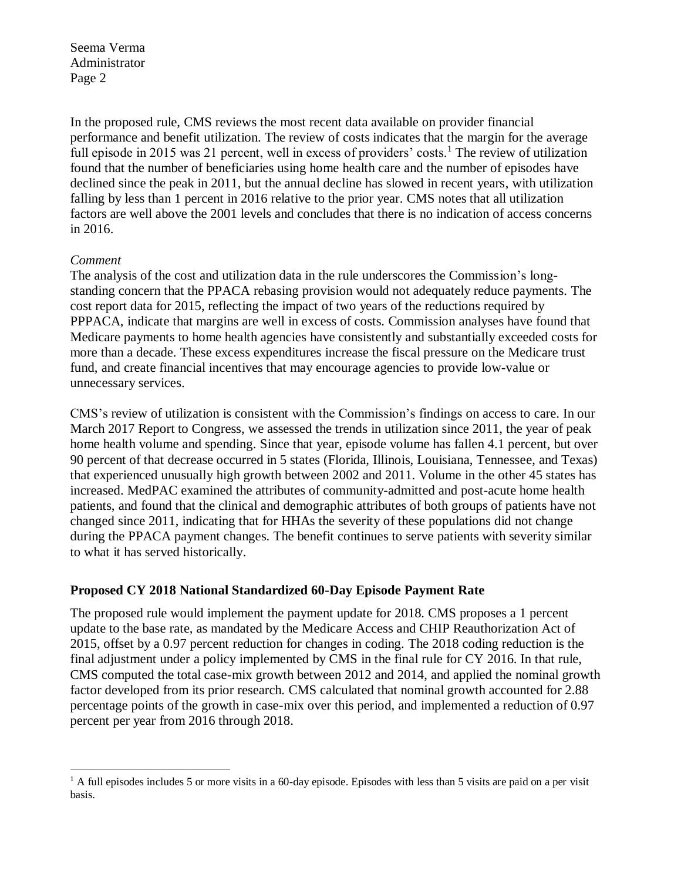In the proposed rule, CMS reviews the most recent data available on provider financial performance and benefit utilization. The review of costs indicates that the margin for the average full episode in 2015 was 21 percent, well in excess of providers' costs.<sup>1</sup> The review of utilization found that the number of beneficiaries using home health care and the number of episodes have declined since the peak in 2011, but the annual decline has slowed in recent years, with utilization falling by less than 1 percent in 2016 relative to the prior year. CMS notes that all utilization factors are well above the 2001 levels and concludes that there is no indication of access concerns in 2016.

## *Comment*

The analysis of the cost and utilization data in the rule underscores the Commission's longstanding concern that the PPACA rebasing provision would not adequately reduce payments. The cost report data for 2015, reflecting the impact of two years of the reductions required by PPPACA, indicate that margins are well in excess of costs. Commission analyses have found that Medicare payments to home health agencies have consistently and substantially exceeded costs for more than a decade. These excess expenditures increase the fiscal pressure on the Medicare trust fund, and create financial incentives that may encourage agencies to provide low-value or unnecessary services.

CMS's review of utilization is consistent with the Commission's findings on access to care. In our March 2017 Report to Congress, we assessed the trends in utilization since 2011, the year of peak home health volume and spending. Since that year, episode volume has fallen 4.1 percent, but over 90 percent of that decrease occurred in 5 states (Florida, Illinois, Louisiana, Tennessee, and Texas) that experienced unusually high growth between 2002 and 2011. Volume in the other 45 states has increased. MedPAC examined the attributes of community-admitted and post-acute home health patients, and found that the clinical and demographic attributes of both groups of patients have not changed since 2011, indicating that for HHAs the severity of these populations did not change during the PPACA payment changes. The benefit continues to serve patients with severity similar to what it has served historically.

# **Proposed CY 2018 National Standardized 60-Day Episode Payment Rate**

The proposed rule would implement the payment update for 2018. CMS proposes a 1 percent update to the base rate, as mandated by the Medicare Access and CHIP Reauthorization Act of 2015, offset by a 0.97 percent reduction for changes in coding. The 2018 coding reduction is the final adjustment under a policy implemented by CMS in the final rule for CY 2016. In that rule, CMS computed the total case-mix growth between 2012 and 2014, and applied the nominal growth factor developed from its prior research. CMS calculated that nominal growth accounted for 2.88 percentage points of the growth in case-mix over this period, and implemented a reduction of 0.97 percent per year from 2016 through 2018.

 $\overline{a}$ <sup>1</sup> A full episodes includes 5 or more visits in a 60-day episode. Episodes with less than 5 visits are paid on a per visit basis.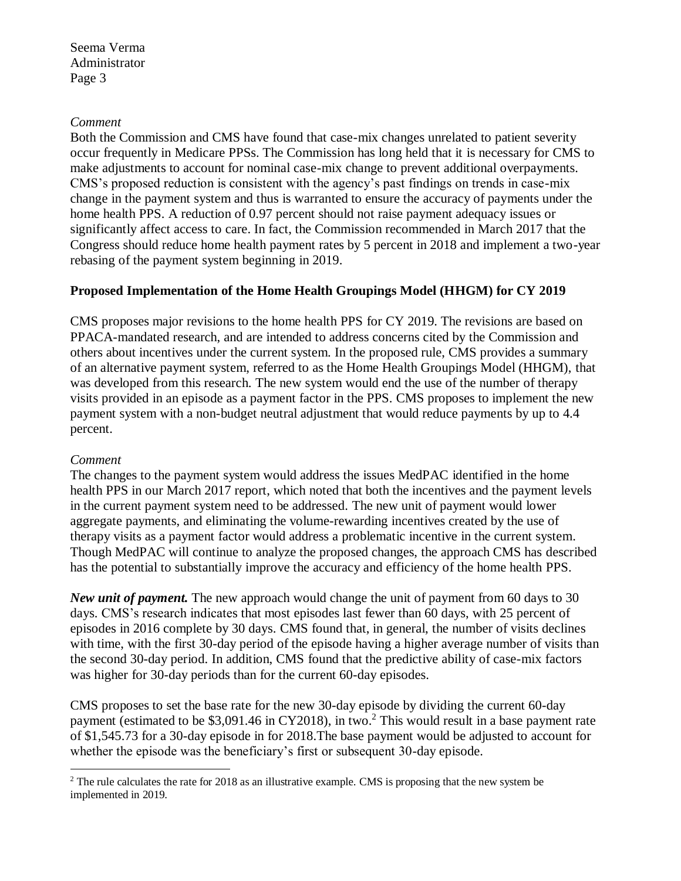### *Comment*

Both the Commission and CMS have found that case-mix changes unrelated to patient severity occur frequently in Medicare PPSs. The Commission has long held that it is necessary for CMS to make adjustments to account for nominal case-mix change to prevent additional overpayments. CMS's proposed reduction is consistent with the agency's past findings on trends in case-mix change in the payment system and thus is warranted to ensure the accuracy of payments under the home health PPS. A reduction of 0.97 percent should not raise payment adequacy issues or significantly affect access to care. In fact, the Commission recommended in March 2017 that the Congress should reduce home health payment rates by 5 percent in 2018 and implement a two-year rebasing of the payment system beginning in 2019.

# **Proposed Implementation of the Home Health Groupings Model (HHGM) for CY 2019**

CMS proposes major revisions to the home health PPS for CY 2019. The revisions are based on PPACA-mandated research, and are intended to address concerns cited by the Commission and others about incentives under the current system. In the proposed rule, CMS provides a summary of an alternative payment system, referred to as the Home Health Groupings Model (HHGM), that was developed from this research. The new system would end the use of the number of therapy visits provided in an episode as a payment factor in the PPS. CMS proposes to implement the new payment system with a non-budget neutral adjustment that would reduce payments by up to 4.4 percent.

### *Comment*

The changes to the payment system would address the issues MedPAC identified in the home health PPS in our March 2017 report, which noted that both the incentives and the payment levels in the current payment system need to be addressed. The new unit of payment would lower aggregate payments, and eliminating the volume-rewarding incentives created by the use of therapy visits as a payment factor would address a problematic incentive in the current system. Though MedPAC will continue to analyze the proposed changes, the approach CMS has described has the potential to substantially improve the accuracy and efficiency of the home health PPS.

*New unit of payment.* The new approach would change the unit of payment from 60 days to 30 days. CMS's research indicates that most episodes last fewer than 60 days, with 25 percent of episodes in 2016 complete by 30 days. CMS found that, in general, the number of visits declines with time, with the first 30-day period of the episode having a higher average number of visits than the second 30-day period. In addition, CMS found that the predictive ability of case-mix factors was higher for 30-day periods than for the current 60-day episodes.

CMS proposes to set the base rate for the new 30-day episode by dividing the current 60-day payment (estimated to be  $$3,091.46$  in CY2018), in two.<sup>2</sup> This would result in a base payment rate of \$1,545.73 for a 30-day episode in for 2018.The base payment would be adjusted to account for whether the episode was the beneficiary's first or subsequent 30-day episode.

 $\overline{a}$ <sup>2</sup> The rule calculates the rate for 2018 as an illustrative example. CMS is proposing that the new system be implemented in 2019.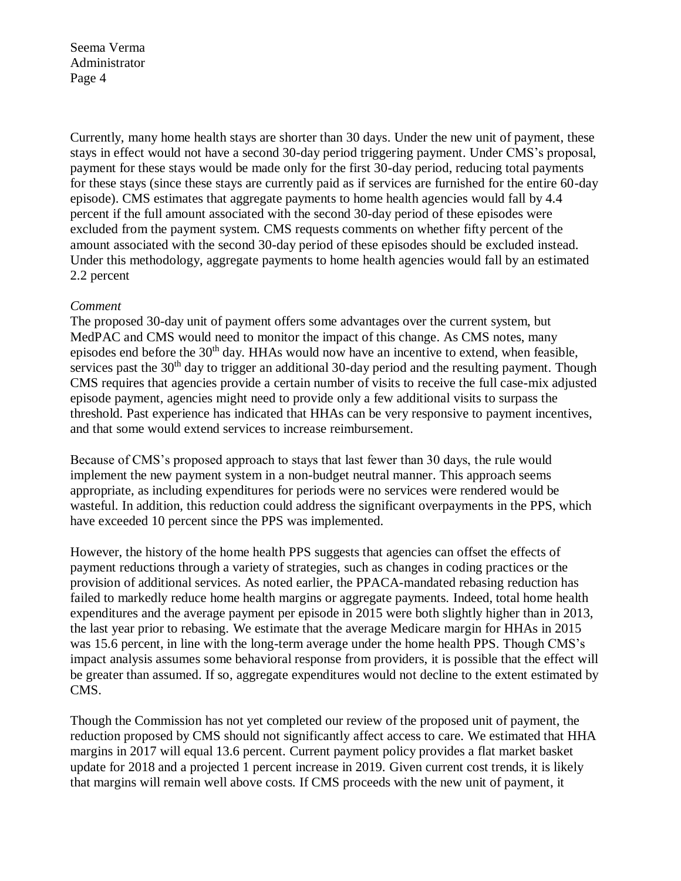Currently, many home health stays are shorter than 30 days. Under the new unit of payment, these stays in effect would not have a second 30-day period triggering payment. Under CMS's proposal, payment for these stays would be made only for the first 30-day period, reducing total payments for these stays (since these stays are currently paid as if services are furnished for the entire 60-day episode). CMS estimates that aggregate payments to home health agencies would fall by 4.4 percent if the full amount associated with the second 30-day period of these episodes were excluded from the payment system. CMS requests comments on whether fifty percent of the amount associated with the second 30-day period of these episodes should be excluded instead. Under this methodology, aggregate payments to home health agencies would fall by an estimated 2.2 percent

### *Comment*

The proposed 30-day unit of payment offers some advantages over the current system, but MedPAC and CMS would need to monitor the impact of this change. As CMS notes, many episodes end before the  $30<sup>th</sup>$  day. HHAs would now have an incentive to extend, when feasible, services past the  $30<sup>th</sup>$  day to trigger an additional 30-day period and the resulting payment. Though CMS requires that agencies provide a certain number of visits to receive the full case-mix adjusted episode payment, agencies might need to provide only a few additional visits to surpass the threshold. Past experience has indicated that HHAs can be very responsive to payment incentives, and that some would extend services to increase reimbursement.

Because of CMS's proposed approach to stays that last fewer than 30 days, the rule would implement the new payment system in a non-budget neutral manner. This approach seems appropriate, as including expenditures for periods were no services were rendered would be wasteful. In addition, this reduction could address the significant overpayments in the PPS, which have exceeded 10 percent since the PPS was implemented.

However, the history of the home health PPS suggests that agencies can offset the effects of payment reductions through a variety of strategies, such as changes in coding practices or the provision of additional services. As noted earlier, the PPACA-mandated rebasing reduction has failed to markedly reduce home health margins or aggregate payments. Indeed, total home health expenditures and the average payment per episode in 2015 were both slightly higher than in 2013, the last year prior to rebasing. We estimate that the average Medicare margin for HHAs in 2015 was 15.6 percent, in line with the long-term average under the home health PPS. Though CMS's impact analysis assumes some behavioral response from providers, it is possible that the effect will be greater than assumed. If so, aggregate expenditures would not decline to the extent estimated by CMS.

Though the Commission has not yet completed our review of the proposed unit of payment, the reduction proposed by CMS should not significantly affect access to care. We estimated that HHA margins in 2017 will equal 13.6 percent. Current payment policy provides a flat market basket update for 2018 and a projected 1 percent increase in 2019. Given current cost trends, it is likely that margins will remain well above costs. If CMS proceeds with the new unit of payment, it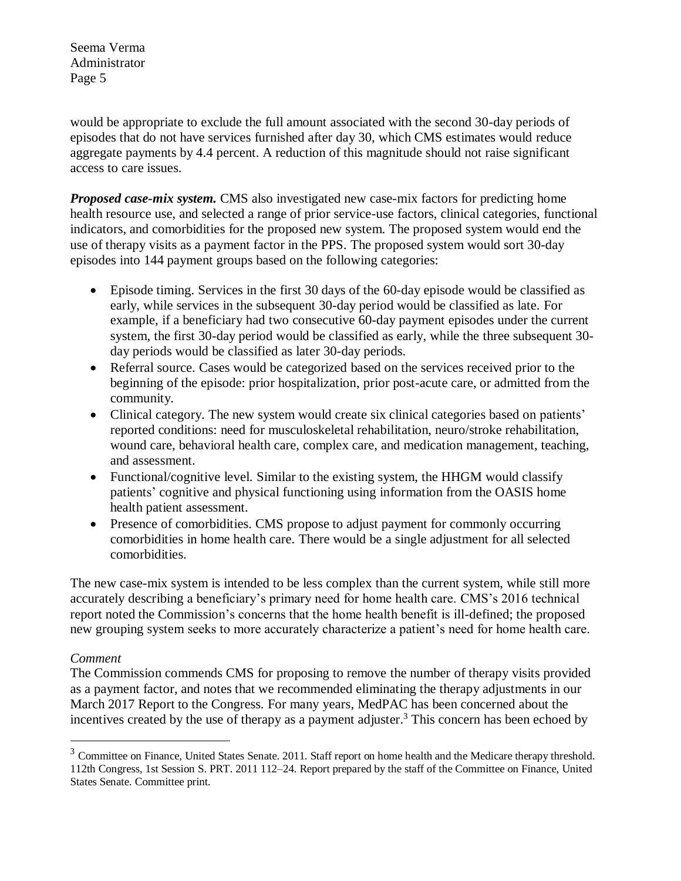would be appropriate to exclude the full amount associated with the second 30-day periods of episodes that do not have services furnished after day 30, which CMS estimates would reduce aggregate payments by 4.4 percent. A reduction of this magnitude should not raise significant access to care issues.

*Proposed case-mix system.* CMS also investigated new case-mix factors for predicting home health resource use, and selected a range of prior service-use factors, clinical categories, functional indicators, and comorbidities for the proposed new system. The proposed system would end the use of therapy visits as a payment factor in the PPS. The proposed system would sort 30-day episodes into 144 payment groups based on the following categories:

- Episode timing. Services in the first 30 days of the 60-day episode would be classified as early, while services in the subsequent 30-day period would be classified as late. For example, if a beneficiary had two consecutive 60-day payment episodes under the current system, the first 30-day period would be classified as early, while the three subsequent 30 day periods would be classified as later 30-day periods.
- Referral source. Cases would be categorized based on the services received prior to the beginning of the episode: prior hospitalization, prior post-acute care, or admitted from the community.
- Clinical category. The new system would create six clinical categories based on patients' reported conditions: need for musculoskeletal rehabilitation, neuro/stroke rehabilitation, wound care, behavioral health care, complex care, and medication management, teaching, and assessment.
- Functional/cognitive level. Similar to the existing system, the HHGM would classify patients' cognitive and physical functioning using information from the OASIS home health patient assessment.
- Presence of comorbidities. CMS propose to adjust payment for commonly occurring comorbidities in home health care. There would be a single adjustment for all selected comorbidities.

The new case-mix system is intended to be less complex than the current system, while still more accurately describing a beneficiary's primary need for home health care. CMS's 2016 technical report noted the Commission's concerns that the home health benefit is ill-defined; the proposed new grouping system seeks to more accurately characterize a patient's need for home health care.

# *Comment*

 $\overline{a}$ 

The Commission commends CMS for proposing to remove the number of therapy visits provided as a payment factor, and notes that we recommended eliminating the therapy adjustments in our March 2017 Report to the Congress. For many years, MedPAC has been concerned about the incentives created by the use of therapy as a payment adjuster.<sup>3</sup> This concern has been echoed by

<sup>&</sup>lt;sup>3</sup> Committee on Finance, United States Senate. 2011. Staff report on home health and the Medicare therapy threshold. 112th Congress, 1st Session S. PRT. 2011 112–24. Report prepared by the staff of the Committee on Finance, United States Senate. Committee print.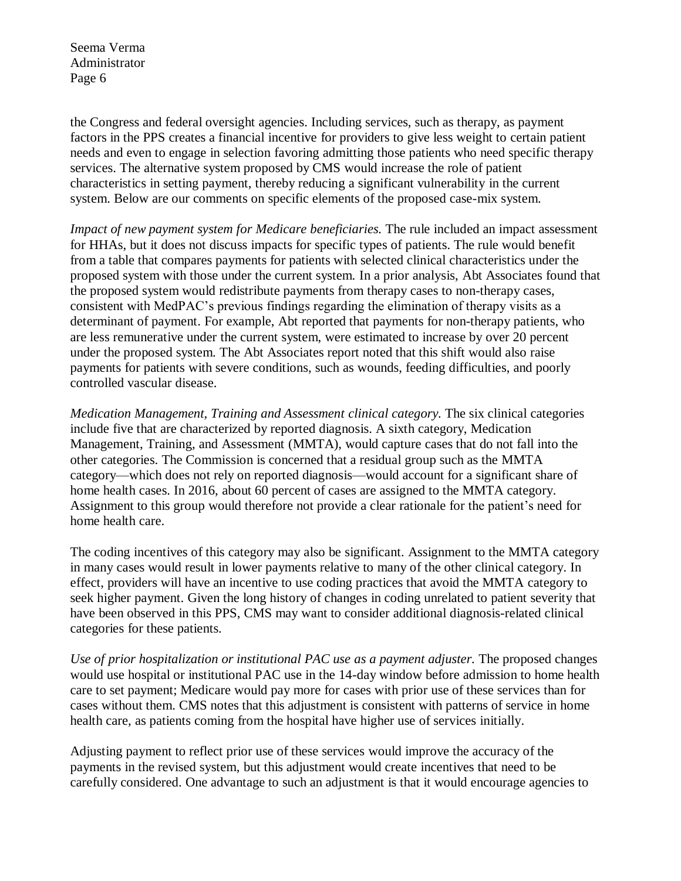the Congress and federal oversight agencies. Including services, such as therapy, as payment factors in the PPS creates a financial incentive for providers to give less weight to certain patient needs and even to engage in selection favoring admitting those patients who need specific therapy services. The alternative system proposed by CMS would increase the role of patient characteristics in setting payment, thereby reducing a significant vulnerability in the current system. Below are our comments on specific elements of the proposed case-mix system.

*Impact of new payment system for Medicare beneficiaries.* The rule included an impact assessment for HHAs, but it does not discuss impacts for specific types of patients. The rule would benefit from a table that compares payments for patients with selected clinical characteristics under the proposed system with those under the current system. In a prior analysis, Abt Associates found that the proposed system would redistribute payments from therapy cases to non-therapy cases, consistent with MedPAC's previous findings regarding the elimination of therapy visits as a determinant of payment. For example, Abt reported that payments for non-therapy patients, who are less remunerative under the current system, were estimated to increase by over 20 percent under the proposed system. The Abt Associates report noted that this shift would also raise payments for patients with severe conditions, such as wounds, feeding difficulties, and poorly controlled vascular disease.

*Medication Management, Training and Assessment clinical category.* The six clinical categories include five that are characterized by reported diagnosis. A sixth category, Medication Management, Training, and Assessment (MMTA), would capture cases that do not fall into the other categories. The Commission is concerned that a residual group such as the MMTA category—which does not rely on reported diagnosis—would account for a significant share of home health cases. In 2016, about 60 percent of cases are assigned to the MMTA category. Assignment to this group would therefore not provide a clear rationale for the patient's need for home health care.

The coding incentives of this category may also be significant. Assignment to the MMTA category in many cases would result in lower payments relative to many of the other clinical category. In effect, providers will have an incentive to use coding practices that avoid the MMTA category to seek higher payment. Given the long history of changes in coding unrelated to patient severity that have been observed in this PPS, CMS may want to consider additional diagnosis-related clinical categories for these patients.

*Use of prior hospitalization or institutional PAC use as a payment adjuster.* The proposed changes would use hospital or institutional PAC use in the 14-day window before admission to home health care to set payment; Medicare would pay more for cases with prior use of these services than for cases without them. CMS notes that this adjustment is consistent with patterns of service in home health care, as patients coming from the hospital have higher use of services initially.

Adjusting payment to reflect prior use of these services would improve the accuracy of the payments in the revised system, but this adjustment would create incentives that need to be carefully considered. One advantage to such an adjustment is that it would encourage agencies to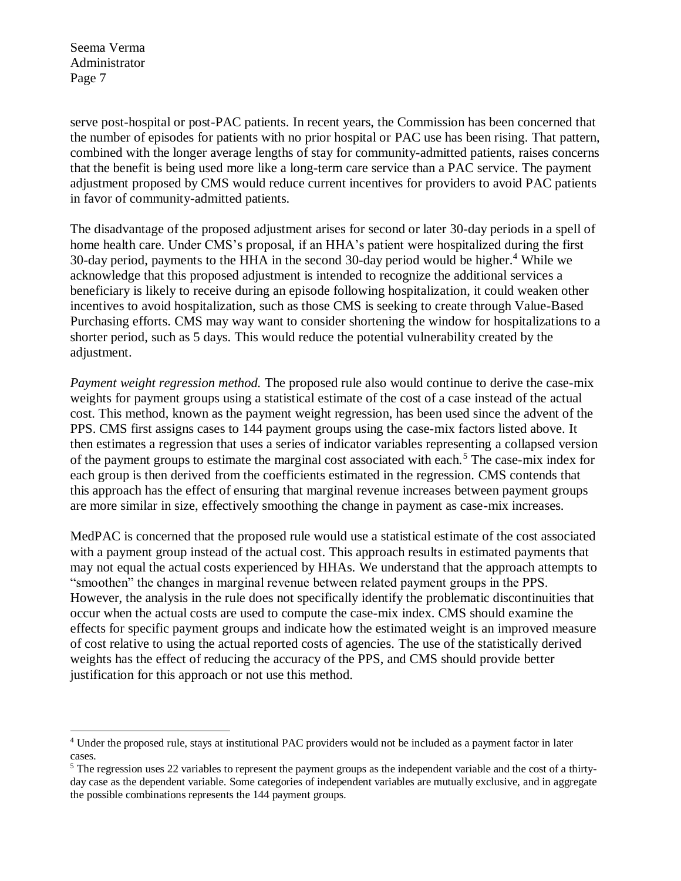serve post-hospital or post-PAC patients. In recent years, the Commission has been concerned that the number of episodes for patients with no prior hospital or PAC use has been rising. That pattern, combined with the longer average lengths of stay for community-admitted patients, raises concerns that the benefit is being used more like a long-term care service than a PAC service. The payment adjustment proposed by CMS would reduce current incentives for providers to avoid PAC patients in favor of community-admitted patients.

The disadvantage of the proposed adjustment arises for second or later 30-day periods in a spell of home health care. Under CMS's proposal, if an HHA's patient were hospitalized during the first 30-day period, payments to the HHA in the second 30-day period would be higher.<sup>4</sup> While we acknowledge that this proposed adjustment is intended to recognize the additional services a beneficiary is likely to receive during an episode following hospitalization, it could weaken other incentives to avoid hospitalization, such as those CMS is seeking to create through Value-Based Purchasing efforts. CMS may way want to consider shortening the window for hospitalizations to a shorter period, such as 5 days. This would reduce the potential vulnerability created by the adjustment.

*Payment weight regression method.* The proposed rule also would continue to derive the case-mix weights for payment groups using a statistical estimate of the cost of a case instead of the actual cost. This method, known as the payment weight regression, has been used since the advent of the PPS. CMS first assigns cases to 144 payment groups using the case-mix factors listed above. It then estimates a regression that uses a series of indicator variables representing a collapsed version of the payment groups to estimate the marginal cost associated with each.<sup>5</sup> The case-mix index for each group is then derived from the coefficients estimated in the regression. CMS contends that this approach has the effect of ensuring that marginal revenue increases between payment groups are more similar in size, effectively smoothing the change in payment as case-mix increases.

MedPAC is concerned that the proposed rule would use a statistical estimate of the cost associated with a payment group instead of the actual cost. This approach results in estimated payments that may not equal the actual costs experienced by HHAs. We understand that the approach attempts to "smoothen" the changes in marginal revenue between related payment groups in the PPS. However, the analysis in the rule does not specifically identify the problematic discontinuities that occur when the actual costs are used to compute the case-mix index. CMS should examine the effects for specific payment groups and indicate how the estimated weight is an improved measure of cost relative to using the actual reported costs of agencies. The use of the statistically derived weights has the effect of reducing the accuracy of the PPS, and CMS should provide better justification for this approach or not use this method.

 $\overline{a}$ <sup>4</sup> Under the proposed rule, stays at institutional PAC providers would not be included as a payment factor in later cases.

<sup>&</sup>lt;sup>5</sup> The regression uses 22 variables to represent the payment groups as the independent variable and the cost of a thirtyday case as the dependent variable. Some categories of independent variables are mutually exclusive, and in aggregate the possible combinations represents the 144 payment groups.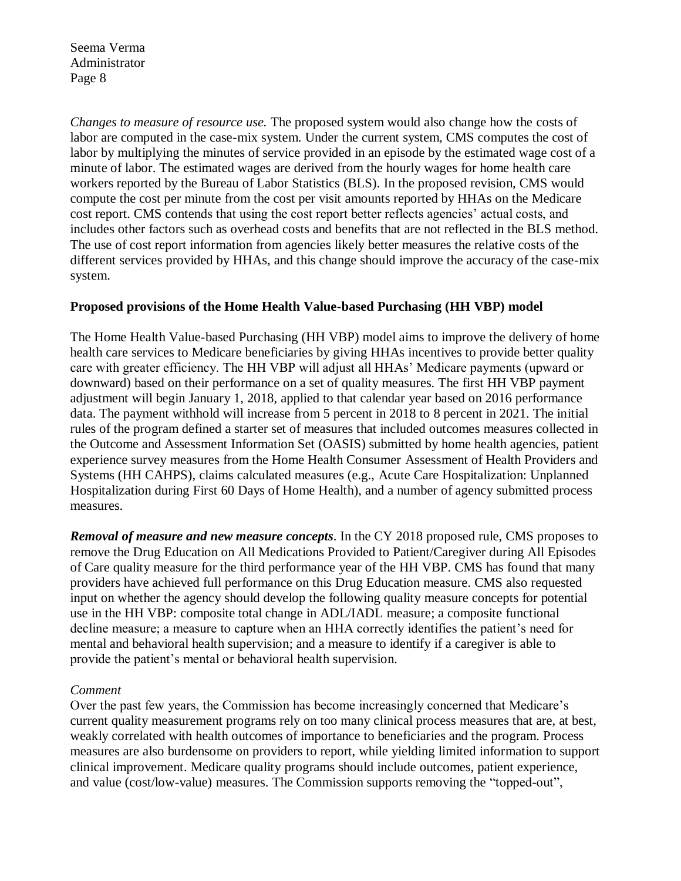*Changes to measure of resource use.* The proposed system would also change how the costs of labor are computed in the case-mix system. Under the current system, CMS computes the cost of labor by multiplying the minutes of service provided in an episode by the estimated wage cost of a minute of labor. The estimated wages are derived from the hourly wages for home health care workers reported by the Bureau of Labor Statistics (BLS). In the proposed revision, CMS would compute the cost per minute from the cost per visit amounts reported by HHAs on the Medicare cost report. CMS contends that using the cost report better reflects agencies' actual costs, and includes other factors such as overhead costs and benefits that are not reflected in the BLS method. The use of cost report information from agencies likely better measures the relative costs of the different services provided by HHAs, and this change should improve the accuracy of the case-mix system.

## **Proposed provisions of the Home Health Value-based Purchasing (HH VBP) model**

The Home Health Value-based Purchasing (HH VBP) model aims to improve the delivery of home health care services to Medicare beneficiaries by giving HHAs incentives to provide better quality care with greater efficiency. The HH VBP will adjust all HHAs' Medicare payments (upward or downward) based on their performance on a set of quality measures. The first HH VBP payment adjustment will begin January 1, 2018, applied to that calendar year based on 2016 performance data. The payment withhold will increase from 5 percent in 2018 to 8 percent in 2021. The initial rules of the program defined a starter set of measures that included outcomes measures collected in the Outcome and Assessment Information Set (OASIS) submitted by home health agencies, patient experience survey measures from the Home Health Consumer Assessment of Health Providers and Systems (HH CAHPS), claims calculated measures (e.g., Acute Care Hospitalization: Unplanned Hospitalization during First 60 Days of Home Health), and a number of agency submitted process measures.

*Removal of measure and new measure concepts*. In the CY 2018 proposed rule, CMS proposes to remove the Drug Education on All Medications Provided to Patient/Caregiver during All Episodes of Care quality measure for the third performance year of the HH VBP. CMS has found that many providers have achieved full performance on this Drug Education measure. CMS also requested input on whether the agency should develop the following quality measure concepts for potential use in the HH VBP: composite total change in ADL/IADL measure; a composite functional decline measure; a measure to capture when an HHA correctly identifies the patient's need for mental and behavioral health supervision; and a measure to identify if a caregiver is able to provide the patient's mental or behavioral health supervision.

### *Comment*

Over the past few years, the Commission has become increasingly concerned that Medicare's current quality measurement programs rely on too many clinical process measures that are, at best, weakly correlated with health outcomes of importance to beneficiaries and the program. Process measures are also burdensome on providers to report, while yielding limited information to support clinical improvement. Medicare quality programs should include outcomes, patient experience, and value (cost/low-value) measures. The Commission supports removing the "topped-out",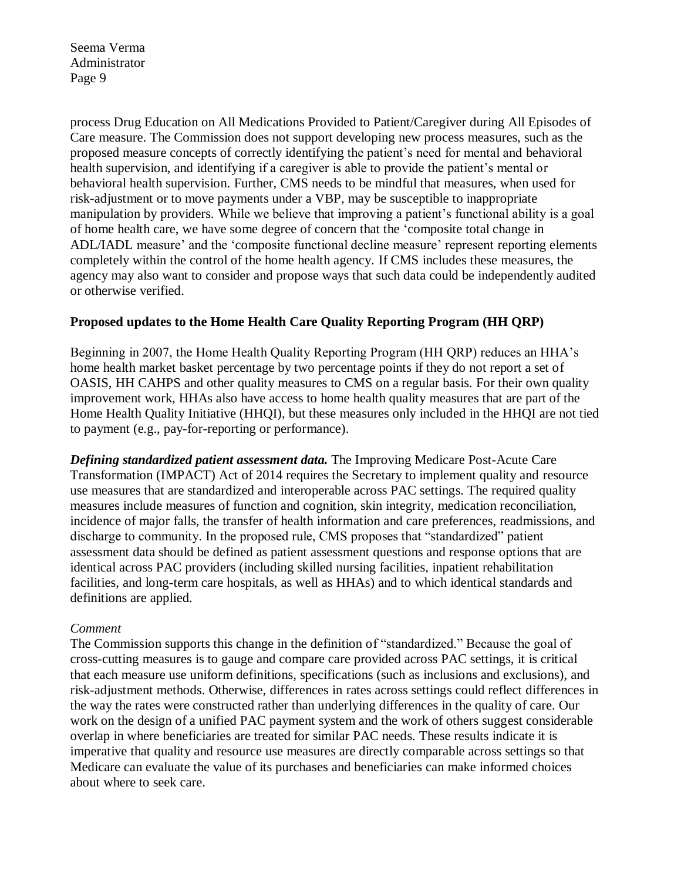process Drug Education on All Medications Provided to Patient/Caregiver during All Episodes of Care measure. The Commission does not support developing new process measures, such as the proposed measure concepts of correctly identifying the patient's need for mental and behavioral health supervision, and identifying if a caregiver is able to provide the patient's mental or behavioral health supervision. Further, CMS needs to be mindful that measures, when used for risk-adjustment or to move payments under a VBP, may be susceptible to inappropriate manipulation by providers. While we believe that improving a patient's functional ability is a goal of home health care, we have some degree of concern that the 'composite total change in ADL/IADL measure' and the 'composite functional decline measure' represent reporting elements completely within the control of the home health agency. If CMS includes these measures, the agency may also want to consider and propose ways that such data could be independently audited or otherwise verified.

## **Proposed updates to the Home Health Care Quality Reporting Program (HH QRP)**

Beginning in 2007, the Home Health Quality Reporting Program (HH QRP) reduces an HHA's home health market basket percentage by two percentage points if they do not report a set of OASIS, HH CAHPS and other quality measures to CMS on a regular basis. For their own quality improvement work, HHAs also have access to home health quality measures that are part of the Home Health Quality Initiative (HHQI), but these measures only included in the HHQI are not tied to payment (e.g., pay-for-reporting or performance).

*Defining standardized patient assessment data.* The Improving Medicare Post-Acute Care Transformation (IMPACT) Act of 2014 requires the Secretary to implement quality and resource use measures that are standardized and interoperable across PAC settings. The required quality measures include measures of function and cognition, skin integrity, medication reconciliation, incidence of major falls, the transfer of health information and care preferences, readmissions, and discharge to community. In the proposed rule, CMS proposes that "standardized" patient assessment data should be defined as patient assessment questions and response options that are identical across PAC providers (including skilled nursing facilities, inpatient rehabilitation facilities, and long-term care hospitals, as well as HHAs) and to which identical standards and definitions are applied.

### *Comment*

The Commission supports this change in the definition of "standardized." Because the goal of cross-cutting measures is to gauge and compare care provided across PAC settings, it is critical that each measure use uniform definitions, specifications (such as inclusions and exclusions), and risk-adjustment methods. Otherwise, differences in rates across settings could reflect differences in the way the rates were constructed rather than underlying differences in the quality of care. Our work on the design of a unified PAC payment system and the work of others suggest considerable overlap in where beneficiaries are treated for similar PAC needs. These results indicate it is imperative that quality and resource use measures are directly comparable across settings so that Medicare can evaluate the value of its purchases and beneficiaries can make informed choices about where to seek care.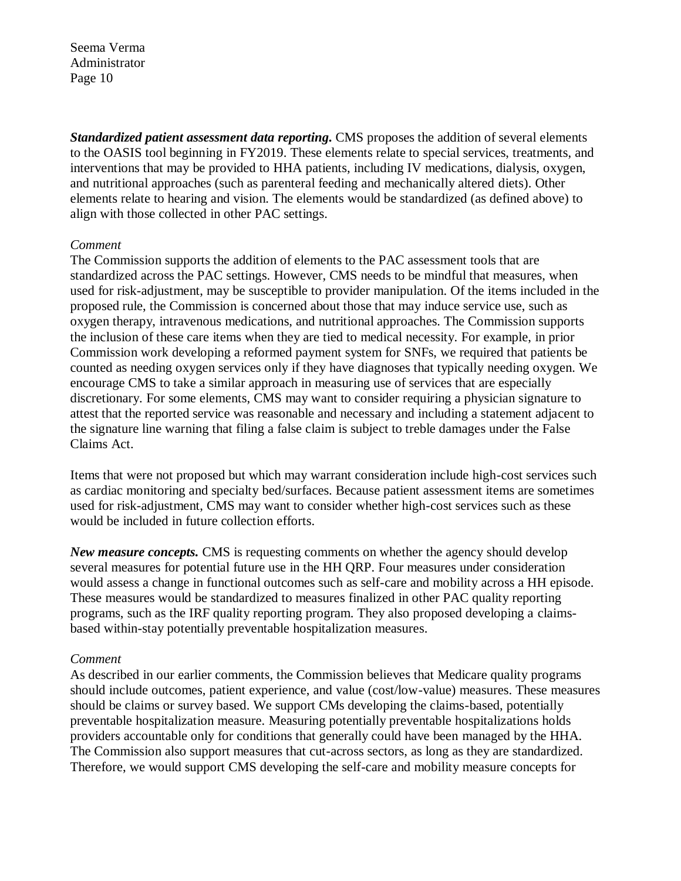*Standardized patient assessment data reporting.* CMS proposes the addition of several elements to the OASIS tool beginning in FY2019. These elements relate to special services, treatments, and interventions that may be provided to HHA patients, including IV medications, dialysis, oxygen, and nutritional approaches (such as parenteral feeding and mechanically altered diets). Other elements relate to hearing and vision. The elements would be standardized (as defined above) to align with those collected in other PAC settings.

#### *Comment*

The Commission supports the addition of elements to the PAC assessment tools that are standardized across the PAC settings. However, CMS needs to be mindful that measures, when used for risk-adjustment, may be susceptible to provider manipulation. Of the items included in the proposed rule, the Commission is concerned about those that may induce service use, such as oxygen therapy, intravenous medications, and nutritional approaches. The Commission supports the inclusion of these care items when they are tied to medical necessity. For example, in prior Commission work developing a reformed payment system for SNFs, we required that patients be counted as needing oxygen services only if they have diagnoses that typically needing oxygen. We encourage CMS to take a similar approach in measuring use of services that are especially discretionary. For some elements, CMS may want to consider requiring a physician signature to attest that the reported service was reasonable and necessary and including a statement adjacent to the signature line warning that filing a false claim is subject to treble damages under the False Claims Act.

Items that were not proposed but which may warrant consideration include high-cost services such as cardiac monitoring and specialty bed/surfaces. Because patient assessment items are sometimes used for risk-adjustment, CMS may want to consider whether high-cost services such as these would be included in future collection efforts.

*New measure concepts.* CMS is requesting comments on whether the agency should develop several measures for potential future use in the HH QRP. Four measures under consideration would assess a change in functional outcomes such as self-care and mobility across a HH episode. These measures would be standardized to measures finalized in other PAC quality reporting programs, such as the IRF quality reporting program. They also proposed developing a claimsbased within-stay potentially preventable hospitalization measures.

### *Comment*

As described in our earlier comments, the Commission believes that Medicare quality programs should include outcomes, patient experience, and value (cost/low-value) measures. These measures should be claims or survey based. We support CMs developing the claims-based, potentially preventable hospitalization measure. Measuring potentially preventable hospitalizations holds providers accountable only for conditions that generally could have been managed by the HHA. The Commission also support measures that cut-across sectors, as long as they are standardized. Therefore, we would support CMS developing the self-care and mobility measure concepts for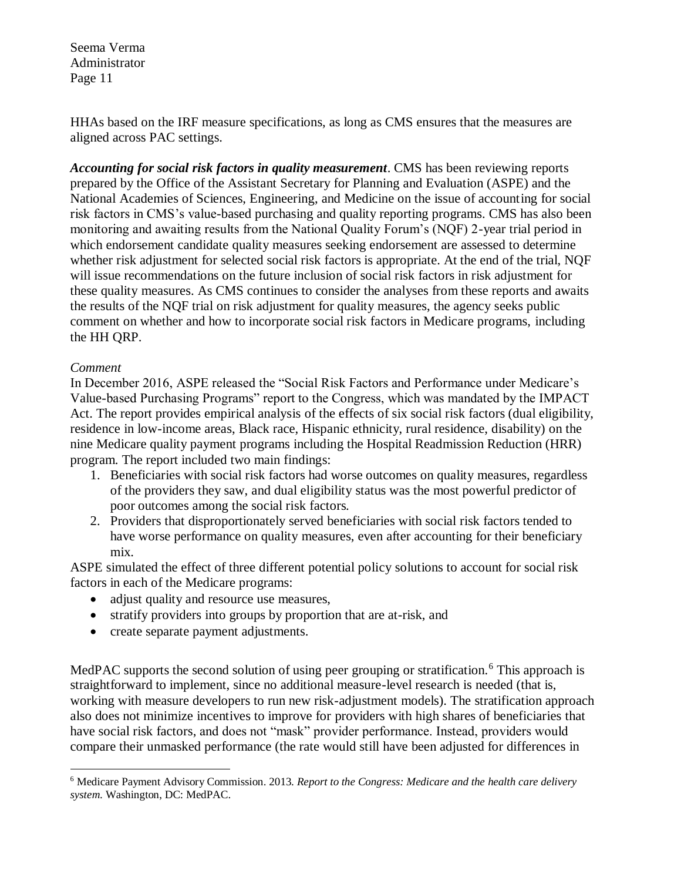HHAs based on the IRF measure specifications, as long as CMS ensures that the measures are aligned across PAC settings.

*Accounting for social risk factors in quality measurement*. CMS has been reviewing reports prepared by the Office of the Assistant Secretary for Planning and Evaluation (ASPE) and the National Academies of Sciences, Engineering, and Medicine on the issue of accounting for social risk factors in CMS's value-based purchasing and quality reporting programs. CMS has also been monitoring and awaiting results from the National Quality Forum's (NQF) 2-year trial period in which endorsement candidate quality measures seeking endorsement are assessed to determine whether risk adjustment for selected social risk factors is appropriate. At the end of the trial, NQF will issue recommendations on the future inclusion of social risk factors in risk adjustment for these quality measures. As CMS continues to consider the analyses from these reports and awaits the results of the NQF trial on risk adjustment for quality measures, the agency seeks public comment on whether and how to incorporate social risk factors in Medicare programs, including the HH QRP.

## *Comment*

In December 2016, ASPE released the "Social Risk Factors and Performance under Medicare's Value-based Purchasing Programs" report to the Congress, which was mandated by the IMPACT Act. The report provides empirical analysis of the effects of six social risk factors (dual eligibility, residence in low-income areas, Black race, Hispanic ethnicity, rural residence, disability) on the nine Medicare quality payment programs including the Hospital Readmission Reduction (HRR) program. The report included two main findings:

- 1. Beneficiaries with social risk factors had worse outcomes on quality measures, regardless of the providers they saw, and dual eligibility status was the most powerful predictor of poor outcomes among the social risk factors.
- 2. Providers that disproportionately served beneficiaries with social risk factors tended to have worse performance on quality measures, even after accounting for their beneficiary mix.

ASPE simulated the effect of three different potential policy solutions to account for social risk factors in each of the Medicare programs:

- adjust quality and resource use measures,
- stratify providers into groups by proportion that are at-risk, and
- create separate payment adjustments.

MedPAC supports the second solution of using peer grouping or stratification.<sup>6</sup> This approach is straightforward to implement, since no additional measure-level research is needed (that is, working with measure developers to run new risk-adjustment models). The stratification approach also does not minimize incentives to improve for providers with high shares of beneficiaries that have social risk factors, and does not "mask" provider performance. Instead, providers would compare their unmasked performance (the rate would still have been adjusted for differences in

 $\overline{a}$ <sup>6</sup> Medicare Payment Advisory Commission. 2013. *Report to the Congress: Medicare and the health care delivery system*. Washington, DC: MedPAC.